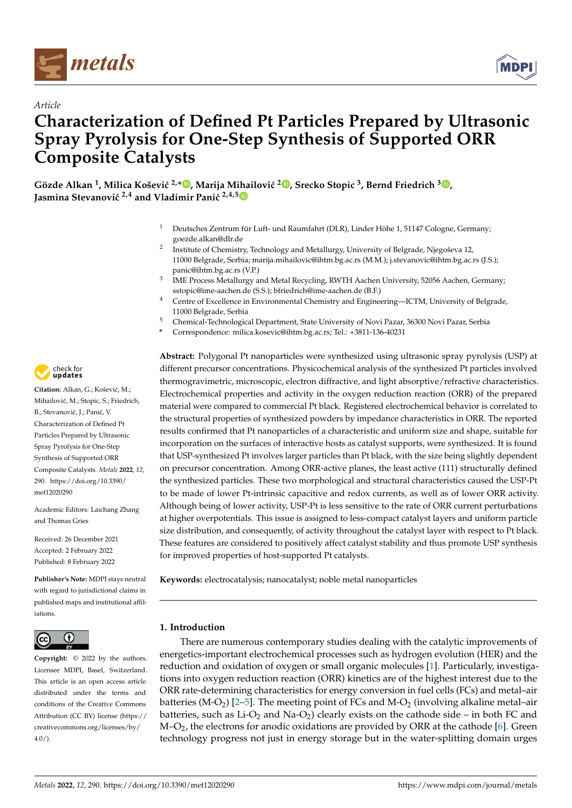

*Article*



# **Characterization of Defined Pt Particles Prepared by Ultrasonic Spray Pyrolysis for One-Step Synthesis of Supported ORR Composite Catalysts**

 $\bf{G}$ özde Alkan  $^1$ [,](https://orcid.org/0000-0002-2934-2034) Milica Košević  $^{2, \ast}$   $\bf{D}$ , Marija Mihailović  $^2$   $\bf{D}$ , Srecko Stopic  $^3$ , Bernd Friedrich  $^3$   $\bf{D}$ , **Jasmina Stevanović** <sup>2,4</sup> and Vladimir Panić<sup>2,4,[5](https://orcid.org/0000-0002-8358-7956)</sup>

- <sup>1</sup> Deutsches Zentrum für Luft- und Raumfahrt (DLR), Linder Höhe 1, 51147 Cologne, Germany; goezde.alkan@dlr.de
- 2 Institute of Chemistry, Technology and Metallurgy, University of Belgrade, Njegoševa 12, 11000 Belgrade, Serbia; marija.mihailovic@ihtm.bg.ac.rs (M.M.); j.stevanovic@ihtm.bg.ac.rs (J.S.); panic@ihtm.bg.ac.rs (V.P.)
- 3 IME Process Metallurgy and Metal Recycling, RWTH Aachen University, 52056 Aachen, Germany; sstopic@ime-aachen.de (S.S.); bfriedrich@ime-aachen.de (B.F.)
- <sup>4</sup> Centre of Excellence in Environmental Chemistry and Engineering—ICTM, University of Belgrade, 11000 Belgrade, Serbia
- <sup>5</sup> Chemical-Technological Department, State University of Novi Pazar, 36300 Novi Pazar, Serbia
- **\*** Correspondence: milica.kosevic@ihtm.bg.ac.rs; Tel.: +3811-136-40231

**Abstract:** Polygonal Pt nanoparticles were synthesized using ultrasonic spray pyrolysis (USP) at different precursor concentrations. Physicochemical analysis of the synthesized Pt particles involved thermogravimetric, microscopic, electron diffractive, and light absorptive/refractive characteristics. Electrochemical properties and activity in the oxygen reduction reaction (ORR) of the prepared material were compared to commercial Pt black. Registered electrochemical behavior is correlated to the structural properties of synthesized powders by impedance characteristics in ORR. The reported results confirmed that Pt nanoparticles of a characteristic and uniform size and shape, suitable for incorporation on the surfaces of interactive hosts as catalyst supports, were synthesized. It is found that USP-synthesized Pt involves larger particles than Pt black, with the size being slightly dependent on precursor concentration. Among ORR-active planes, the least active (111) structurally defined the synthesized particles. These two morphological and structural characteristics caused the USP-Pt to be made of lower Pt-intrinsic capacitive and redox currents, as well as of lower ORR activity. Although being of lower activity, USP-Pt is less sensitive to the rate of ORR current perturbations at higher overpotentials. This issue is assigned to less-compact catalyst layers and uniform particle size distribution, and consequently, of activity throughout the catalyst layer with respect to Pt black. These features are considered to positively affect catalyst stability and thus promote USP synthesis for improved properties of host-supported Pt catalysts.

**Keywords:** electrocatalysis; nanocatalyst; noble metal nanoparticles

### **1. Introduction**

There are numerous contemporary studies dealing with the catalytic improvements of energetics-important electrochemical processes such as hydrogen evolution (HER) and the reduction and oxidation of oxygen or small organic molecules [\[1\]](#page-10-0). Particularly, investigations into oxygen reduction reaction (ORR) kinetics are of the highest interest due to the ORR rate-determining characteristics for energy conversion in fuel cells (FCs) and metal–air batteries (M-O<sub>2</sub>) [\[2–](#page-10-1)[5\]](#page-10-2). The meeting point of FCs and M-O<sub>2</sub> (involving alkaline metal–air batteries, such as  $Li-O<sub>2</sub>$  and Na-O<sub>2</sub>) clearly exists on the cathode side – in both FC and  $M$ – $O_2$ , the electrons for anodic oxidations are provided by ORR at the cathode [\[6\]](#page-10-3). Green technology progress not just in energy storage but in the water-splitting domain urges



Citation: Alkan, G.; Košević, M.; Mihailović, M.; Stopic, S.; Friedrich, B.; Stevanović, J.; Panić, V. Characterization of Defined Pt Particles Prepared by Ultrasonic Spray Pyrolysis for One-Step Synthesis of Supported ORR Composite Catalysts. *Metals* **2022**, *12*, 290. [https://doi.org/10.3390/](https://doi.org/10.3390/met12020290) [met12020290](https://doi.org/10.3390/met12020290)

Academic Editors: Laichang Zhang and Thomas Gries

Received: 26 December 2021 Accepted: 2 February 2022 Published: 8 February 2022

**Publisher's Note:** MDPI stays neutral with regard to jurisdictional claims in published maps and institutional affiliations.



**Copyright:** © 2022 by the authors. Licensee MDPI, Basel, Switzerland. This article is an open access article distributed under the terms and conditions of the Creative Commons Attribution (CC BY) license [\(https://](https://creativecommons.org/licenses/by/4.0/) [creativecommons.org/licenses/by/](https://creativecommons.org/licenses/by/4.0/)  $4.0/$ ).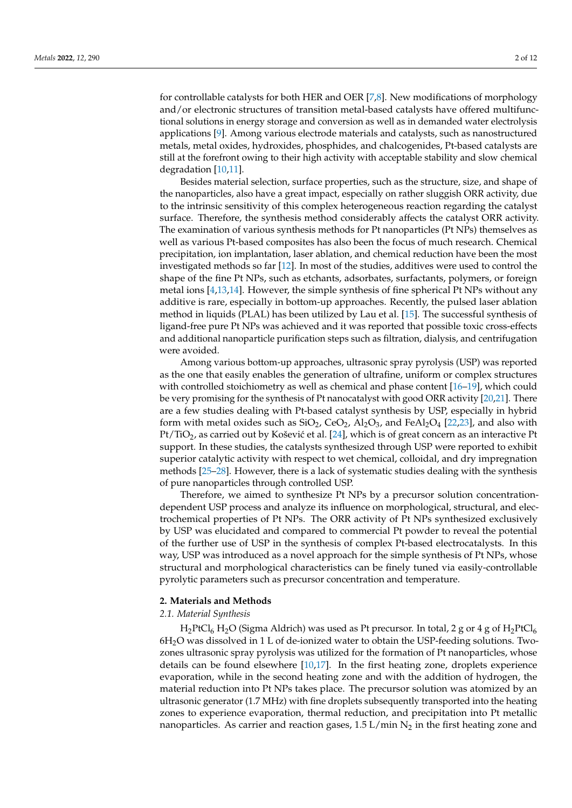for controllable catalysts for both HER and OER [\[7,](#page-10-4)[8\]](#page-10-5). New modifications of morphology and/or electronic structures of transition metal-based catalysts have offered multifunctional solutions in energy storage and conversion as well as in demanded water electrolysis applications [\[9\]](#page-10-6). Among various electrode materials and catalysts, such as nanostructured metals, metal oxides, hydroxides, phosphides, and chalcogenides, Pt-based catalysts are still at the forefront owing to their high activity with acceptable stability and slow chemical degradation [\[10](#page-10-7)[,11\]](#page-10-8).

Besides material selection, surface properties, such as the structure, size, and shape of the nanoparticles, also have a great impact, especially on rather sluggish ORR activity, due to the intrinsic sensitivity of this complex heterogeneous reaction regarding the catalyst surface. Therefore, the synthesis method considerably affects the catalyst ORR activity. The examination of various synthesis methods for Pt nanoparticles (Pt NPs) themselves as well as various Pt-based composites has also been the focus of much research. Chemical precipitation, ion implantation, laser ablation, and chemical reduction have been the most investigated methods so far [\[12\]](#page-10-9). In most of the studies, additives were used to control the shape of the fine Pt NPs, such as etchants, adsorbates, surfactants, polymers, or foreign metal ions [\[4,](#page-10-10)[13,](#page-10-11)[14\]](#page-10-12). However, the simple synthesis of fine spherical Pt NPs without any additive is rare, especially in bottom-up approaches. Recently, the pulsed laser ablation method in liquids (PLAL) has been utilized by Lau et al. [\[15\]](#page-10-13). The successful synthesis of ligand-free pure Pt NPs was achieved and it was reported that possible toxic cross-effects and additional nanoparticle purification steps such as filtration, dialysis, and centrifugation were avoided.

Among various bottom-up approaches, ultrasonic spray pyrolysis (USP) was reported as the one that easily enables the generation of ultrafine, uniform or complex structures with controlled stoichiometry as well as chemical and phase content [\[16](#page-10-14)[–19\]](#page-11-0), which could be very promising for the synthesis of Pt nanocatalyst with good ORR activity [\[20,](#page-11-1)[21\]](#page-11-2). There are a few studies dealing with Pt-based catalyst synthesis by USP, especially in hybrid form with metal oxides such as  $SiO_2$ ,  $CeO_2$ ,  $Al_2O_3$ , and  $FeAl_2O_4$  [\[22](#page-11-3)[,23\]](#page-11-4), and also with  $Pt/TiO<sub>2</sub>$ , as carried out by Košević et al. [\[24\]](#page-11-5), which is of great concern as an interactive Pt support. In these studies, the catalysts synthesized through USP were reported to exhibit superior catalytic activity with respect to wet chemical, colloidal, and dry impregnation methods [\[25](#page-11-6)[–28\]](#page-11-7). However, there is a lack of systematic studies dealing with the synthesis of pure nanoparticles through controlled USP.

Therefore, we aimed to synthesize Pt NPs by a precursor solution concentrationdependent USP process and analyze its influence on morphological, structural, and electrochemical properties of Pt NPs. The ORR activity of Pt NPs synthesized exclusively by USP was elucidated and compared to commercial Pt powder to reveal the potential of the further use of USP in the synthesis of complex Pt-based electrocatalysts. In this way, USP was introduced as a novel approach for the simple synthesis of Pt NPs, whose structural and morphological characteristics can be finely tuned via easily-controllable pyrolytic parameters such as precursor concentration and temperature.

### **2. Materials and Methods**

### *2.1. Material Synthesis*

 $H_2PtCl_6 H_2O$  (Sigma Aldrich) was used as Pt precursor. In total, 2 g or 4 g of  $H_2PtCl_6$  $6H<sub>2</sub>O$  was dissolved in 1 L of de-ionized water to obtain the USP-feeding solutions. Twozones ultrasonic spray pyrolysis was utilized for the formation of Pt nanoparticles, whose details can be found elsewhere [\[10,](#page-10-7)[17\]](#page-11-8). In the first heating zone, droplets experience evaporation, while in the second heating zone and with the addition of hydrogen, the material reduction into Pt NPs takes place. The precursor solution was atomized by an ultrasonic generator (1.7 MHz) with fine droplets subsequently transported into the heating zones to experience evaporation, thermal reduction, and precipitation into Pt metallic nanoparticles. As carrier and reaction gases, 1.5 L/min  $N_2$  in the first heating zone and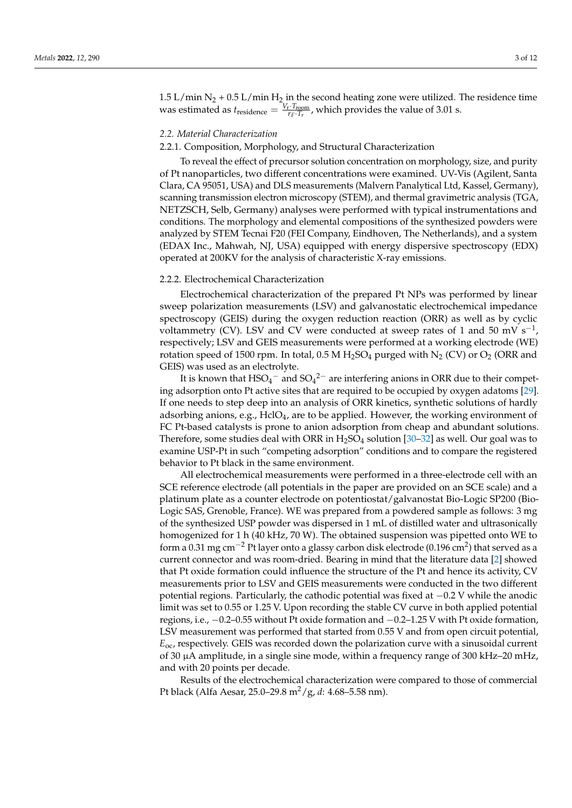1.5 L/min  $N_2$  + 0.5 L/min  $H_2$  in the second heating zone were utilized. The residence time was estimated as  $t_{\text{residence}} = \frac{V_r \cdot T_{\text{room}}}{r_f \cdot T_r}$ , which provides the value of 3.01 s.

### *2.2. Material Characterization*

### 2.2.1. Composition, Morphology, and Structural Characterization

To reveal the effect of precursor solution concentration on morphology, size, and purity of Pt nanoparticles, two different concentrations were examined. UV-Vis (Agilent, Santa Clara, CA 95051, USA) and DLS measurements (Malvern Panalytical Ltd, Kassel, Germany), scanning transmission electron microscopy (STEM), and thermal gravimetric analysis (TGA, NETZSCH, Selb, Germany) analyses were performed with typical instrumentations and conditions. The morphology and elemental compositions of the synthesized powders were analyzed by STEM Tecnai F20 (FEI Company, Eindhoven, The Netherlands), and a system (EDAX Inc., Mahwah, NJ, USA) equipped with energy dispersive spectroscopy (EDX) operated at 200KV for the analysis of characteristic X-ray emissions.

### 2.2.2. Electrochemical Characterization

Electrochemical characterization of the prepared Pt NPs was performed by linear sweep polarization measurements (LSV) and galvanostatic electrochemical impedance spectroscopy (GEIS) during the oxygen reduction reaction (ORR) as well as by cyclic voltammetry (CV). LSV and CV were conducted at sweep rates of 1 and 50 mV s<sup>-1</sup>, respectively; LSV and GEIS measurements were performed at a working electrode (WE) rotation speed of 1500 rpm. In total, 0.5 M  $H_2SO_4$  purged with  $N_2$  (CV) or  $O_2$  (ORR and GEIS) was used as an electrolyte.

It is known that  $HSO_4^-$  and  $SO_4^2^-$  are interfering anions in ORR due to their competing adsorption onto Pt active sites that are required to be occupied by oxygen adatoms [\[29\]](#page-11-9). If one needs to step deep into an analysis of ORR kinetics, synthetic solutions of hardly adsorbing anions, e.g.,  $HclO<sub>4</sub>$ , are to be applied. However, the working environment of FC Pt-based catalysts is prone to anion adsorption from cheap and abundant solutions. Therefore, some studies deal with ORR in  $H_2SO_4$  solution [\[30](#page-11-10)[–32\]](#page-11-11) as well. Our goal was to examine USP-Pt in such "competing adsorption" conditions and to compare the registered behavior to Pt black in the same environment.

All electrochemical measurements were performed in a three-electrode cell with an SCE reference electrode (all potentials in the paper are provided on an SCE scale) and a platinum plate as a counter electrode on potentiostat/galvanostat Bio-Logic SP200 (Bio-Logic SAS, Grenoble, France). WE was prepared from a powdered sample as follows: 3 mg of the synthesized USP powder was dispersed in 1 mL of distilled water and ultrasonically homogenized for 1 h (40 kHz, 70 W). The obtained suspension was pipetted onto WE to form a 0.31 mg cm<sup>-2</sup> Pt layer onto a glassy carbon disk electrode (0.196 cm<sup>2</sup>) that served as a current connector and was room-dried. Bearing in mind that the literature data [\[2\]](#page-10-1) showed that Pt oxide formation could influence the structure of the Pt and hence its activity, CV measurements prior to LSV and GEIS measurements were conducted in the two different potential regions. Particularly, the cathodic potential was fixed at −0.2 V while the anodic limit was set to 0.55 or 1.25 V. Upon recording the stable CV curve in both applied potential regions, i.e., −0.2–0.55 without Pt oxide formation and −0.2–1.25 V with Pt oxide formation, LSV measurement was performed that started from 0.55 V and from open circuit potential, *E*oc, respectively. GEIS was recorded down the polarization curve with a sinusoidal current of 30  $\mu$ A amplitude, in a single sine mode, within a frequency range of 300 kHz–20 mHz, and with 20 points per decade.

Results of the electrochemical characterization were compared to those of commercial Pt black (Alfa Aesar, 25.0–29.8 m2/g, *d*: 4.68–5.58 nm).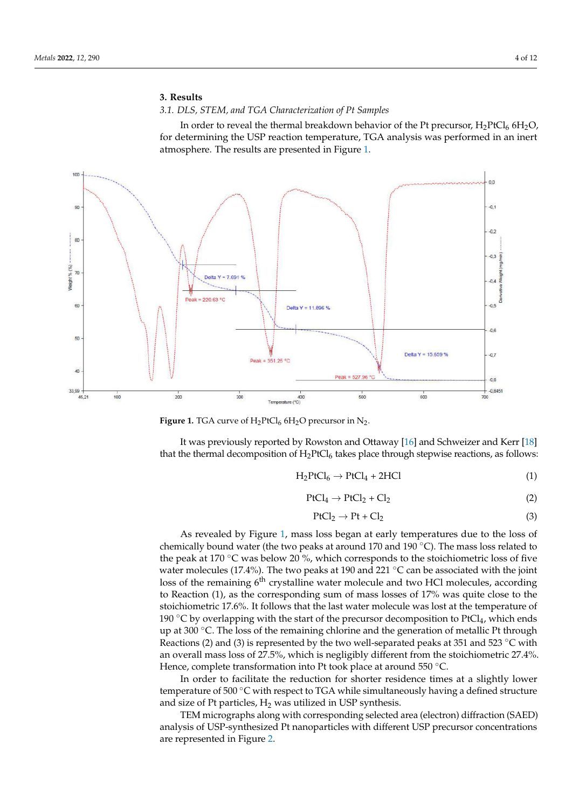# **3. Results** 3. Results

### *3.1. DLS, STEM, and TGA Characterization of Pt Samples* 3.1. DLS, STEM, and TGA Characterization of Pt Samples

<span id="page-3-0"></span>In order to reveal the thermal breakdown behavior of the Pt precursor,  $H_2PtCl_6$  6H<sub>2</sub>O, for determining the USP reaction temperature, TGA analysis was performed in an inert for determining the USP reaction temperature, TGA analysis was performed in an inert atmosphere. The results are presented in Figure 1. atmosphere. The results are presented in Figu[re](#page-3-0) 1.



**Figure 1.** TGA curve of  $H_2PtCl_6$  6H<sub>2</sub>O precursor in N<sub>2</sub>.

It was previously reported by Rowston and Ottaway [\[16\]](#page-10-14) and Schweizer and Kerr [\[18\]](#page-11-12) that the thermal decomposition of  $H_2PtCl_6$  takes place through stepwise reactions, as follows:

$$
H_2PtCl_6 \to PtCl_4 + 2HCl \tag{1}
$$

$$
PtCl_4 \rightarrow PtCl_2 + Cl_2 \tag{2}
$$

$$
PtCl_2 \to Pt + Cl_2 \tag{3}
$$

As revealed by Figure [1,](#page-3-0) mass loss began at early temperatures due to the loss of Figure 1, mass loss began at the peak at 170 °C was below 20 %, which corresponds to the stoichiometric loss of five water molecules (17.4%). The two peaks at 190 and 221 °C can be associated with the joint loss of the remaining 6<sup>th</sup> crystalline water molecule and two HCl molecules, according to Reaction (1), as the corresponding sum of mass losses of 17% was quite close to the stoichiometric 17.6%. It follows that the last water molecule was lost at the temperature of 190 °C by overlapping with the start of the precursor decomposition to PtCl<sub>4</sub>, which ends up at 300 °C. The loss of the remaining chlorine and the generation of metallic Pt through an overall mass loss of 27.5%, which is negligibly different from the stoichiometric 27.4%. Hence, complete transformation into Pt took place at around  $550 °C$ . chemically bound water (the two peaks at around 170 and 190 ◦C). The mass loss related to Reactions (2) and (3) is represented by the two well-separated peaks at 351 and 523 °C with

In order to facilitate the reduction for shorter residence times at a slightly lower temperature of 500 °C with respect to TGA while simultaneously having a defined structure and size of Pt particles,  $H_2$  was utilized in USP synthesis.

TEM micrographs along with corresponding selected area (electron) diffraction (SAED) analysis of USP-synthesized Pt nanoparticles with different USP precursor concentrations are represented in Figure [2.](#page-4-0)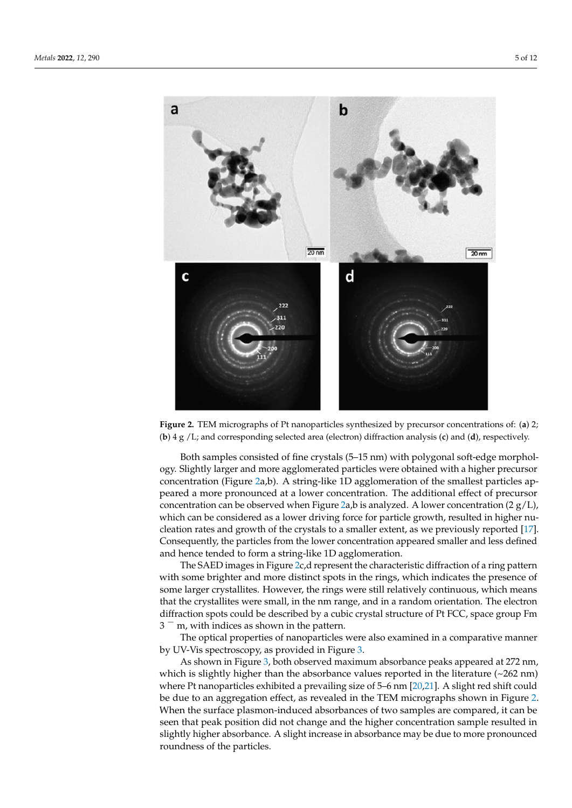<span id="page-4-0"></span>

Figure 2. TEM micrographs of Pt nanoparticles synthesized by precursor concentrations of: (a) 2; (b) **Figure 2.** TEM micrographs of Pt nanoparticles synthesized by precursor concentrations of: (**a**) 2; 4 g /L; and corresponding selected area (electron) diffraction analysis (c) and (d), respectively. (**b**) 4 g /L; and corresponding selected area (electron) diffraction analysis (**c**) and (**d**), respectively.

Both samples consisted of fine crystals (5–15 nm) with polygonal soft-edge Both samples consisted of fine crystals (5–15 nm) with polygonal soft-edge morphology. Slightly larger and more agglomerated particles were obtained with a higher precursor c[on](#page-4-0)centration (Figure 2a,b). A string-like 1D agglomeration of the smallest particles appeared a more pronounced at a lower concentration. The additional effect of precursor concentration can be observ[ed](#page-4-0) when Figure  $2a$ ,b is analyzed. A lower concentration (2  $g/L$ ), which can be considered as a lower driving force for particle growth, resulted in higher nucleation rates and growth of the crystals to a smaller extent, as [we](#page-11-8) previously reported [17]. Consequently, the particles from the lower concentration appeared smaller and less defined and hence tended to form a string-like 1D agglomeration.

The SAED images in Figure [2c](#page-4-0),d represent the characteristic diffraction of a ring pattern with some brighter and more distinct spots in the rings, which indicates the presence of some larger crystallites. However, the rings were still relatively continuous, which means that the crystallites were small, in the nm range, and in a random orientation. The electron diffraction spots could be described by a cubic crystal structure of Pt FCC, space group Fm  $3<sup>-</sup>$  m, with indices as shown in the pattern.

The optical properties of nanoparticles were also examined in a comparative manner by UV-Vis spectroscopy, as provided in Figure [3.](#page-5-0)

As shown in Figure 3, both observed maximum absorbance peaks appeared at 272 nm, which is slightly higher than the absorbance values reported in the literature  $(\sim 262 \text{ nm})$ where Pt nanoparticles exhibited a prevailing size of 5–6 nm [\[20,](#page-11-1)[21\]](#page-11-2). A slight red shift could be due to an aggregation effect, as revealed in the TEM micrographs shown in Figure [2.](#page-4-0) When the surface plasmon-induced absorbances of two samples are compared, it can be seen that peak position did not change and the higher concentration sample resulted in slightly higher absorbance. A slight increase in absorbance may be due to more pronounced roundness of the particles.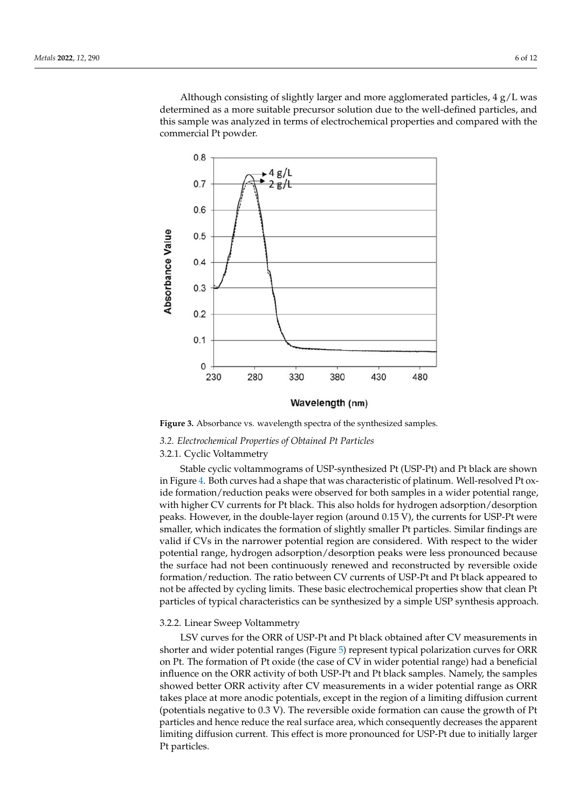Although consisting of slightly larger and more agglomerated particles,  $4 \text{ g/L}$  was determined as a more suitable precursor solution due to the well-defined particles, and this sample was analyzed in terms of electrochemical properties and compared with the commercial Pt powder.

<span id="page-5-0"></span>

Figure 3. Absorbance vs. wavelength spectra of the synthesized samples. **Figure 3.** Absorbance vs. wavelength spectra of the synthesized samples.

### *3.2. Electrochemical Properties of Obtained Pt Particles*

## 3.2.1. Cyclic Voltammetry

nm, which is slightly higher than the absorbance values reported in the literature (~262 Stable cyclic voltammograms of USP-synthesized Pt (USP-Pt) and Pt black are shown in Figure [4.](#page-6-0) Both curves had a shape that was characteristic of platinum. Well-resolved Pt oxide formation/reduction peaks were observed for both samples in a wider potential range,<br>idealized are compared, for Didade, This also halds for both samples in a wider potential range, with higher CV currents for Pt black. This also holds for hydrogen adsorption/desorption<br>weaks Westerney in the dealth horas weaks (concentration) the summate for UCB Placeau peaks. However, in the double tayer region (around  $\sigma$ .  $\sigma$ ), the earlierts for  $\sigma$ s T I were smaller, which indicates the formation of slightly smaller Pt particles. Similar findings are provided if CVs in the narrower potential region are considered. With respect to the wider vand in Svis in the narrower potential region are considered. What respect to the water<br>potential range, hydrogen adsorption/desorption peaks were less pronounced because the surface had not been continuously renewed and reconstructed by reversible oxide the surface had not been continuously renewed and reconstructed by reversible oxide formation/reduction. The ratio between CV currents of USP-Pt and Pt black appeared to not be affected by cycling limits. These basic electrochemical properties show that clean Pt particles of typical characteristics can be synthesized by a simple USP synthesis approach. peaks. However, in the double-layer region (around 0.15 V), the currents for USP-Pt were

### 3.2.2. Linear Sweep Voltammetry

LSV curves for the ORR of USP-Pt and Pt black obtained after CV measurements in shorter and wider potential ranges (Figure 5) represent typical polarization curves for ORR on Pt. The formation of Pt oxide (the case of CV in wider potential range) had a beneficial influence on the ORR activity of both USP-Pt and Pt black samples. Namely, the samples showed better ORR activity after CV measurements in a wider potential range as ORR takes place at more anodic potentials, except in the region of a limiting diffusion current (potentials negative to  $0.3$  V). The reversible oxide formation can cause the growth of Pt particles and hence reduce the real surface area, which consequently decreases the apparent limiting diffusion current. This effect is more pronounced for USP-Pt due to initially larger Preferences. The reversion of  $r_{\rm c}$  and  $r_{\rm c}$  currents of  $r_{\rm c}$  currents of  $r_{\rm c}$  currents of  $r_{\rm c}$  currents of  $r_{\rm c}$  currents of  $r_{\rm c}$  currents of  $r_{\rm c}$  currents of  $r_{\rm c}$  currents of  $r_{\rm c}$  cu Pt particles.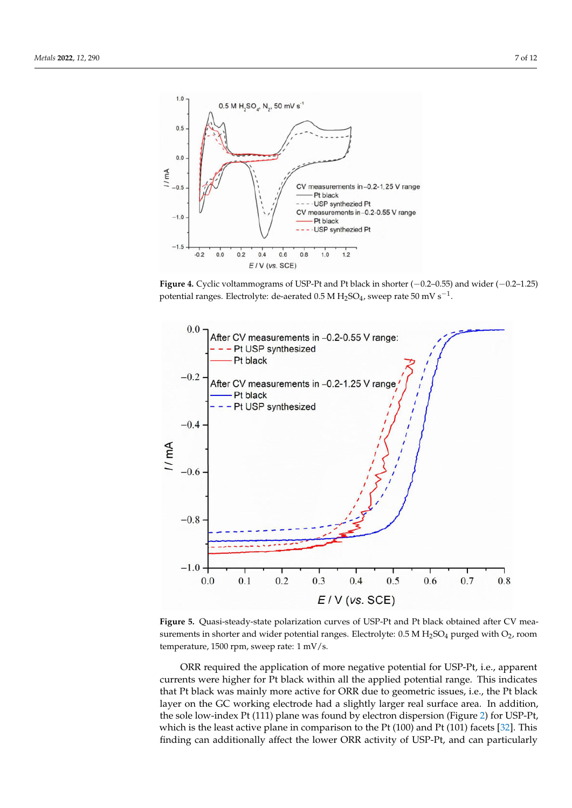<span id="page-6-0"></span>

Figure 4. Cyclic voltammograms of USP-Pt and Pt black in shorter  $(-0.2-0.55)$  and wider  $(-0.2-1.25)$ potential ranges. Electrolyte: de-aerated 0.5 M H<sub>2</sub>SO<sub>4</sub>, sweep rate 50 mV s<sup>-1</sup>.

<span id="page-6-1"></span>

Figure 5. Quasi-steady-state polarization curves of USP-Pt and Pt black obtained after CV measurements in shorter and wider potential ranges. Electrolyte:  $0.5$  M H<sub>2</sub>SO<sub>4</sub> purged with O<sub>2</sub>, room temperature, 1500 rpm, sweep rate:  $1 \text{ mV/s}$ .  $\mathbf{r}$  when in comparison to  $\mathbf{r}$ 

ORR required the application of more negative potential for USP-Pt, i.e., apparent currents were higher for Pt black within all the applied potential range. This indicates that Pt black was mainly more active for ORR due to geometric issues, i.e., the Pt black layer on the GC working electrode had a slightly larger real surface area. In addition, the sole low-index Pt (111) plane was found by electron dispersion (Figure 2) for USP-Pt, which is the least active plane in comparison to the Pt  $(100)$  and Pt  $(101)$  facets  $[32]$ . This finding can additionally affect the lower ORR activity of USP-Pt, and can particularly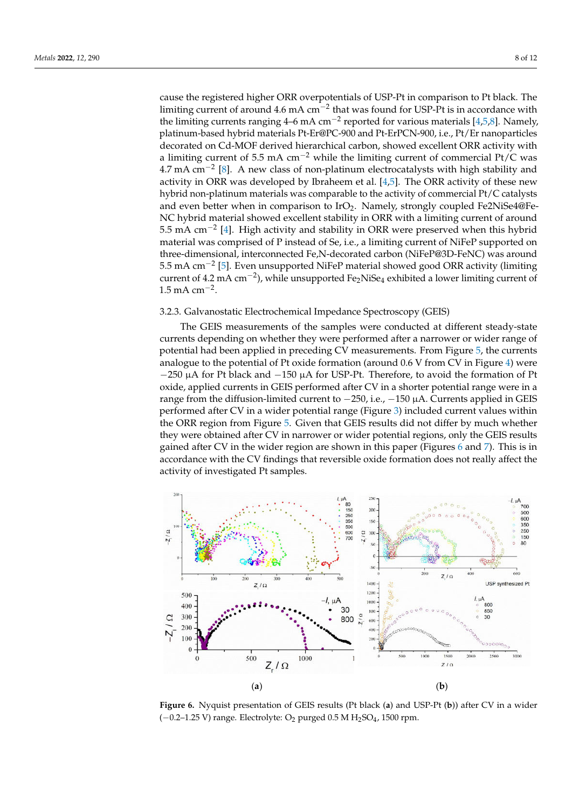cause the registered higher ORR overpotentials of USP-Pt in comparison to Pt black. The limiting current of around 4.6 mA cm<sup>-2</sup> that was found for USP-Pt is in accordance with the limiting currents ranging 4–6 mA cm−<sup>2</sup> reported for various materials [\[4,](#page-10-10)[5,](#page-10-2)[8\]](#page-10-5). Namely, platinum-based hybrid materials Pt-Er@PC-900 and Pt-ErPCN-900, i.e., Pt/Er nanoparticles decorated on Cd-MOF derived hierarchical carbon, showed excellent ORR activity with a limiting current of 5.5 mA  $\text{cm}^{-2}$  while the limiting current of commercial Pt/C was 4.7 mA cm−<sup>2</sup> [\[8\]](#page-10-5). A new class of non-platinum electrocatalysts with high stability and activity in ORR was developed by Ibraheem et al.  $[4,5]$  $[4,5]$ . The ORR activity of these new hybrid non-platinum materials was comparable to the activity of commercial Pt/C catalysts and even better when in comparison to  $IrO<sub>2</sub>$ . Namely, strongly coupled Fe2NiSe4@Fe-NC hybrid material showed excellent stability in ORR with a limiting current of around 5.5 mA cm−<sup>2</sup> [\[4\]](#page-10-10). High activity and stability in ORR were preserved when this hybrid material was comprised of P instead of Se, i.e., a limiting current of NiFeP supported on three-dimensional, interconnected Fe,N-decorated carbon (NiFeP@3D-FeNC) was around 5.5 mA cm−<sup>2</sup> [\[5\]](#page-10-2). Even unsupported NiFeP material showed good ORR activity (limiting current of 4.2 mA cm−<sup>2</sup> ), while unsupported Fe2NiSe<sup>4</sup> exhibited a lower limiting current of  $1.5 \text{ mA cm}^{-2}$ .

### 3.2.3. Galvanostatic Electrochemical Impedance Spectroscopy (GEIS)

The GEIS measurements of the samples were conducted at different steady-state currents depending on whether they were performed after a narrower or wider range of potential had been applied in preceding CV measurements. From Figure [5,](#page-6-1) the currents analogue to the potential of Pt oxide formation (around 0.6 V from CV in Figure [4\)](#page-6-0) were −250 µA for Pt black and −150 µA for USP-Pt. Therefore, to avoid the formation of Pt oxide, applied currents in GEIS performed after CV in a shorter potential range were in a range from the diffusion-limited current to −250, i.e., −150 µA. Currents applied in GEIS performed after CV in a wider potential range (Figure [3\)](#page-5-0) included current values within the ORR region from Figure [5.](#page-6-1) Given that GEIS results did not differ by much whether they were obtained after CV in narrower or wider potential regions, only the GEIS results gained after CV in the wider region are shown in this paper (Figures 6 and [7\)](#page-8-0). This is in accordance with the CV findings that reversible oxide formation does not really affect the activity of investigated Pt samples.

<span id="page-7-0"></span>

Figure 6. Nyquist presentation of GEIS results (Pt black (a) and USP-Pt (b)) after CV in a wider **Figure 6.** Nyquist presentation of GEIS results (Pt black (**a**) and USP-Pt (**b**)) after CV in a wider (−0.2–1.25 V) range. Electrolyte: O2 purged 0.5 M H2SO4, 1500 rpm. (−0.2–1.25 V) range. Electrolyte: O<sup>2</sup> purged 0.5 M H2SO<sup>4</sup> , 1500 rpm.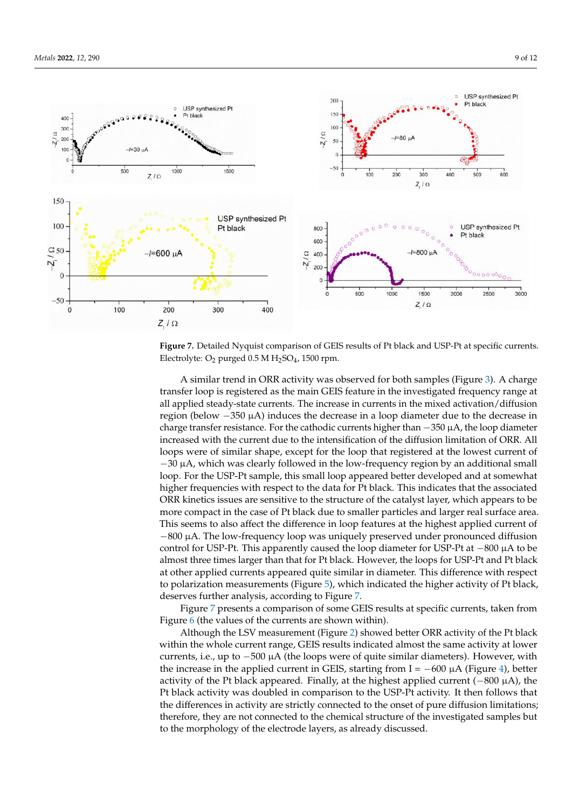<span id="page-8-0"></span>

Figure 7. Detailed Nyquist comparison of GEIS results of Pt black and USP-Pt at specific currents. **Figure 7.** Detailed Nyquist comparison of GEIS results of Pt black and USP-Pt at specific currents. Electrolyte:  $O_2$  purged 0.5 M  $H_2SO_4$ , 1500 rpm.

A similar trend in ORR activity was observed for both samples (Figure 3). A charge transfer loop is registered as the main GEIS feature in the investigated frequency range at all applied steady-state currents. The increase in currents in the mixed activation/diffusion region (below  $-350 \mu A$ ) induces the decrease in a loop diameter due to the decrease in charge transfer resistance. For the cathodic currents higher than  $-350 \mu A$ , the loop diameter increased with the current due to the intensification of the diffusion limitation of ORR. All loops were of similar shape, except for the loop that registered at the lowest current of  $-30 \mu$ A, which was clearly followed in the low-frequency region by an additional small loop. For the USP-Pt sample, this small loop appeared better developed and at somewhat higher frequencies with respect to the data for Pt black. This indicates that the associated<br>CERLI comparison of ORR activity registered in General Corresponding to Depth and Depth black and Depth black and De more compact in the case of Pt black due to smaller particles and larger real surface area.<br>This compact is the ca<sup>c</sup>cert the difference in here feetware at the high ret can lied surgert of −800 μA. The low-frequency loop was uniquely preserved under pronounced diffusion <sub>control</sub> for USP-Pt. This apparently caused the loop diameter for USP-Pt at −800 µA to be almost three times larger than that for Pt black. However, the loops for USP-Pt and Pt black affrequency affect and the sample and the term of the state. The complete the state reaction control to the state reaction control. to polarization measurements (Figure [5\)](#page-6-1), which indicated the higher activity of Pt black, the parameter more in throughout the outer sites sites sites sites sites sites sites sites sites sites sites of deserves further analysis, according to Figure [7.](#page-8-0) ORR kinetics issues are sensitive to the structure of the catalyst layer, which appears to be This seems to also affect the difference in loop features at the highest applied current of

Figure [7](#page-8-0) presents a comparison of some GEIS results at specific currents, taken from Figure  $\frac{1}{6}$  $\frac{1}{6}$  $\frac{1}{6}$  (the values of the currents are shown within).

Although the LSV measurement (Figure [2\)](#page-4-0) showed better ORR activity of the Pt black within the whole current range, GEIS results indicated almost the same activity at lower currents, i.e., up to −500 µA (the loops were of quite similar diameters). However, with the increase in the applied current in GEIS, starting from I = −600 µA (Figure [4\)](#page-6-0), better activity of the Pt black appeared. Finally, at the highest applied current (−800 µA), the Pt black activity was doubled in comparison to the USP-Pt activity. It then follows that the differences in activity are strictly connected to the onset of pure diffusion limitations; therefore, they are not connected to the chemical structure of the investigated samples but to the morphology of the electrode layers, as already discussed.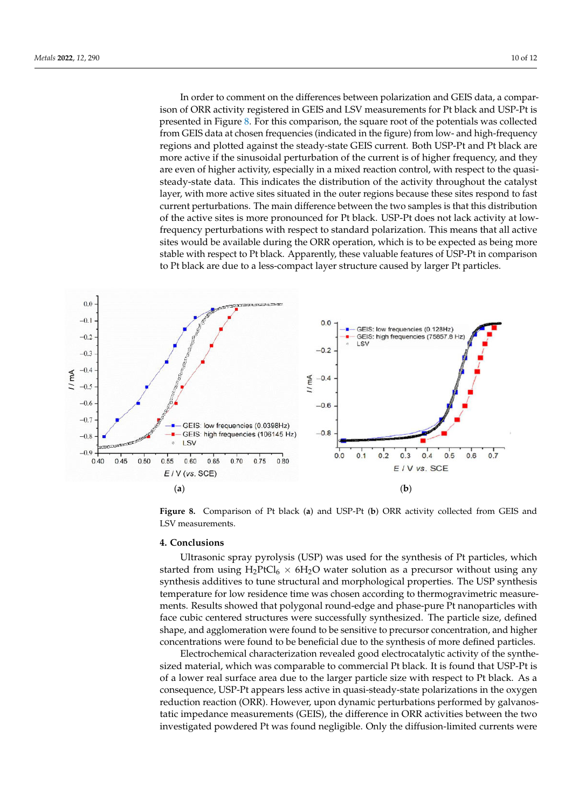In order to comment on the differences between polarization and GEIS data, a comparison of ORR activity registered in GEIS and LSV measurements for Pt black and USP-Pt is presented in Figure [8.](#page-9-0) For this comparison, the square root of the potentials was collected from GEIS data at chosen frequencies (indicated in the figure) from low- and high-frequency regions and plotted against the steady-state GEIS current. Both USP-Pt and Pt black are more active if the sinusoidal perturbation of the current is of higher frequency, and they are even of higher activity, especially in a mixed reaction control, with respect to the quasisteady-state data. This indicates the distribution of the activity throughout the catalyst layer, with more active sites situated in the outer regions because these sites respond to fast current perturbations. The main difference between the two samples is that this distribution of the active sites is more pronounced for Pt black. USP-Pt does not lack activity at lowfrequency perturbations with respect to standard polarization. This means that all active sites would be available during the ORR operation, which is to be expected as being more stable with respect to Pt black. Apparently, these valuable features of USP-Pt in comparison to Pt black are due to a less-compact layer structure caused by larger Pt particles.

<span id="page-9-0"></span>

Figure 8. Comparison of Pt black (a) and USP-Pt (b) ORR activity collected from GEIS and LSV measurements.

### **4. Conclusions**

started from using  $H_2PtCl_6 \times 6H_2O$  water solution as a precursor without using any synthesis additives to tune structural and morphological properties. The USP synthesis temperature for low residence time was chosen according to thermogravimetric measurements. Results showed that polygonal round-edge and phase-pure Pt nanoparticles with<br>fore qubic contand etructures were successfully synthesized. The particle size, defined shape, and agglomeration were found to be sensitive to precursor concentration, and higher concentrations were found to be beneficial due to the synthesis of more defined particles. Ultrasonic spray pyrolysis (USP) was used for the synthesis of Pt particles, which face cubic centered structures were successfully synthesized. The particle size, defined

Electrochemical characterization revealed good electrocatalytic activity of the synthesized material, which was comparable to commercial Pt black. It is found that USP-Pt is<br>sized material, which was comparable to commercial Pt black. It is found that USP-Pt is of a fower real barriers area due to the harger particle bike with respect to relation the distribution consequence, USP-Pt appears less active in quasi-steady-state polarizations in the oxygen reduction reaction (ORR). However, upon dynamic perturbations performed by galvanostatic impedance measurements (GEIS), the difference in ORR activities between the two investigated powdered Pt was found negligible. Only the diffusion-limited currents were of a lower real surface area due to the larger particle size with respect to Pt black. As a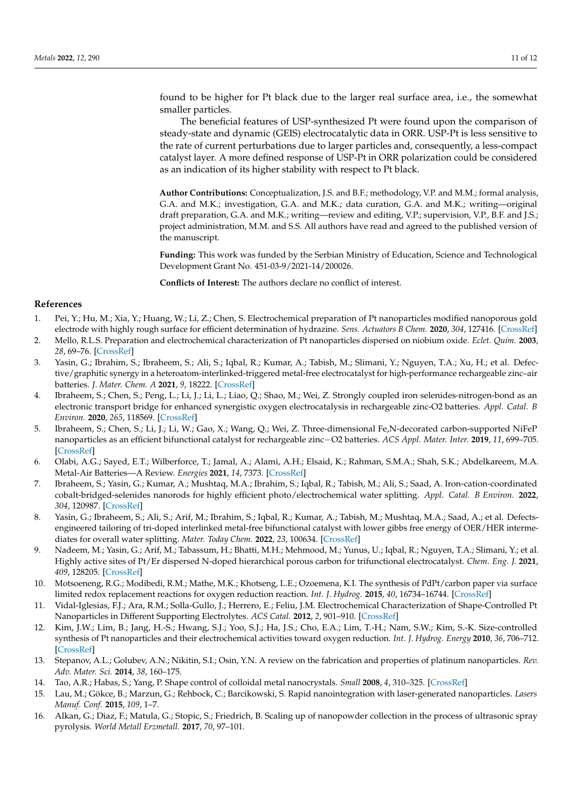found to be higher for Pt black due to the larger real surface area, i.e., the somewhat smaller particles.

The beneficial features of USP-synthesized Pt were found upon the comparison of steady-state and dynamic (GEIS) electrocatalytic data in ORR. USP-Pt is less sensitive to the rate of current perturbations due to larger particles and, consequently, a less-compact catalyst layer. A more defined response of USP-Pt in ORR polarization could be considered as an indication of its higher stability with respect to Pt black.

**Author Contributions:** Conceptualization, J.S. and B.F.; methodology, V.P. and M.M.; formal analysis, G.A. and M.K.; investigation, G.A. and M.K.; data curation, G.A. and M.K.; writing—original draft preparation, G.A. and M.K.; writing—review and editing, V.P.; supervision, V.P., B.F. and J.S.; project administration, M.M. and S.S. All authors have read and agreed to the published version of the manuscript.

**Funding:** This work was funded by the Serbian Ministry of Education, Science and Technological Development Grant No. 451-03-9/2021-14/200026.

**Conflicts of Interest:** The authors declare no conflict of interest.

### **References**

- <span id="page-10-0"></span>1. Pei, Y.; Hu, M.; Xia, Y.; Huang, W.; Li, Z.; Chen, S. Electrochemical preparation of Pt nanoparticles modified nanoporous gold electrode with highly rough surface for efficient determination of hydrazine. *Sens. Actuators B Chem.* **2020**, *304*, 127416. [\[CrossRef\]](http://doi.org/10.1016/j.snb.2019.127416)
- <span id="page-10-1"></span>2. Mello, R.L.S. Preparation and electrochemical characterization of Pt nanoparticles dispersed on niobium oxide. *Eclet. Quím.* **2003**, *28*, 69–76. [\[CrossRef\]](http://doi.org/10.1590/S0100-46702003000200009)
- 3. Yasin, G.; Ibrahim, S.; Ibraheem, S.; Ali, S.; Iqbal, R.; Kumar, A.; Tabish, M.; Slimani, Y.; Nguyen, T.A.; Xu, H.; et al. Defective/graphitic synergy in a heteroatom-interlinked-triggered metal-free electrocatalyst for high-performance rechargeable zinc–air batteries. *J. Mater. Chem. A* **2021**, *9*, 18222. [\[CrossRef\]](http://doi.org/10.1039/D1TA05812F)
- <span id="page-10-10"></span>4. Ibraheem, S.; Chen, S.; Peng, L.; Li, J.; Li, L.; Liao, Q.; Shao, M.; Wei, Z. Strongly coupled iron selenides-nitrogen-bond as an electronic transport bridge for enhanced synergistic oxygen electrocatalysis in rechargeable zinc-O2 batteries. *Appl. Catal. B Environ.* **2020**, *265*, 118569. [\[CrossRef\]](http://doi.org/10.1016/j.apcatb.2019.118569)
- <span id="page-10-2"></span>5. Ibraheem, S.; Chen, S.; Li, J.; Li, W.; Gao, X.; Wang, Q.; Wei, Z. Three-dimensional Fe,N-decorated carbon-supported NiFeP nanoparticles as an efficient bifunctional catalyst for rechargeable zinc−O2 batteries. *ACS Appl. Mater. Inter.* **2019**, *11*, 699–705. [\[CrossRef\]](http://doi.org/10.1021/acsami.8b16126)
- <span id="page-10-3"></span>6. Olabi, A.G.; Sayed, E.T.; Wilberforce, T.; Jamal, A.; Alami, A.H.; Elsaid, K.; Rahman, S.M.A.; Shah, S.K.; Abdelkareem, M.A. Metal-Air Batteries—A Review. *Energies* **2021**, *14*, 7373. [\[CrossRef\]](http://doi.org/10.3390/en14217373)
- <span id="page-10-4"></span>7. Ibraheem, S.; Yasin, G.; Kumar, A.; Mushtaq, M.A.; Ibrahim, S.; Iqbal, R.; Tabish, M.; Ali, S.; Saad, A. Iron-cation-coordinated cobalt-bridged-selenides nanorods for highly efficient photo/electrochemical water splitting. *Appl. Catal. B Environ.* **2022**, *304*, 120987. [\[CrossRef\]](http://doi.org/10.1016/j.apcatb.2021.120987)
- <span id="page-10-5"></span>8. Yasin, G.; Ibraheem, S.; Ali, S.; Arif, M.; Ibrahim, S.; Iqbal, R.; Kumar, A.; Tabish, M.; Mushtaq, M.A.; Saad, A.; et al. Defectsengineered tailoring of tri-doped interlinked metal-free bifunctional catalyst with lower gibbs free energy of OER/HER intermediates for overall water splitting. *Mater. Today Chem.* **2022**, *23*, 100634. [\[CrossRef\]](http://doi.org/10.1016/j.mtchem.2021.100634)
- <span id="page-10-6"></span>9. Nadeem, M.; Yasin, G.; Arif, M.; Tabassum, H.; Bhatti, M.H.; Mehmood, M.; Yunus, U.; Iqbal, R.; Nguyen, T.A.; Slimani, Y.; et al. Highly active sites of Pt/Er dispersed N-doped hierarchical porous carbon for trifunctional electrocatalyst. *Chem. Eng. J.* **2021**, *409*, 128205. [\[CrossRef\]](http://doi.org/10.1016/j.cej.2020.128205)
- <span id="page-10-7"></span>10. Motsoeneng, R.G.; Modibedi, R.M.; Mathe, M.K.; Khotseng, L.E.; Ozoemena, K.I. The synthesis of PdPt/carbon paper via surface limited redox replacement reactions for oxygen reduction reaction. *Int. J. Hydrog.* **2015**, *40*, 16734–16744. [\[CrossRef\]](http://doi.org/10.1016/j.ijhydene.2015.08.060)
- <span id="page-10-8"></span>11. Vidal-Iglesias, F.J.; Ara, R.M.; Solla-Gullo, J.; Herrero, E.; Feliu, J.M. Electrochemical Characterization of Shape-Controlled Pt Nanoparticles in Different Supporting Electrolytes. *ACS Catal.* **2012**, *2*, 901–910. [\[CrossRef\]](http://doi.org/10.1021/cs200681x)
- <span id="page-10-9"></span>12. Kim, J.W.; Lim, B.; Jang, H.-S.; Hwang, S.J.; Yoo, S.J.; Ha, J.S.; Cho, E.A.; Lim, T.-H.; Nam, S.W.; Kim, S.-K. Size-controlled synthesis of Pt nanoparticles and their electrochemical activities toward oxygen reduction. *Int. J. Hydrog. Energy* **2010**, *36*, 706–712. [\[CrossRef\]](http://doi.org/10.1016/j.ijhydene.2010.09.055)
- <span id="page-10-11"></span>13. Stepanov, A.L.; Golubev, A.N.; Nikitin, S.I.; Osin, Y.N. A review on the fabrication and properties of platinum nanoparticles. *Rev. Adv. Mater. Sci.* **2014**, *38*, 160–175.
- <span id="page-10-12"></span>14. Tao, A.R.; Habas, S.; Yang, P. Shape control of colloidal metal nanocrystals. *Small* **2008**, *4*, 310–325. [\[CrossRef\]](http://doi.org/10.1002/smll.200701295)
- <span id="page-10-13"></span>15. Lau, M.; Gökce, B.; Marzun, G.; Rehbock, C.; Barcikowski, S. Rapid nanointegration with laser-generated nanoparticles. *Lasers Manuf. Conf.* **2015**, *109*, 1–7.
- <span id="page-10-14"></span>16. Alkan, G.; Diaz, F.; Matula, G.; Stopic, S.; Friedrich, B. Scaling up of nanopowder collection in the process of ultrasonic spray pyrolysis. *World Metall Erzmetall.* **2017**, *70*, 97–101.